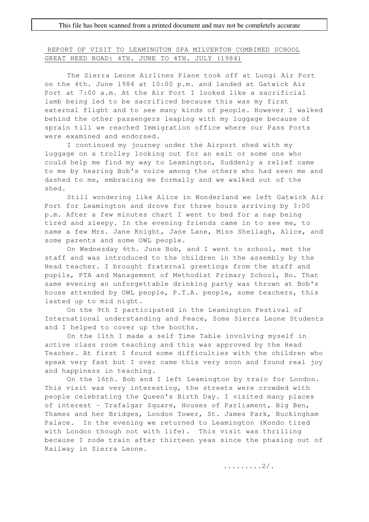## REPORT OF VISIT TO LEAMINGTON SPA MILVERTON COMBINED SCHOOL GREAT HEED ROAD: 4TH. JUNE TO 4TH. JULY (1984)

The Sierra Leone Airlines Plane took off at Lungi Air Port on the 4th. June 1984 at 10:00 p.m. and landed at Gatwick Air Port at 7:00 a.m. At the Air Port I looked like a sacrificial lamb being led to be sacrificed because this was my first external flight and to see many kinds of people. However I walked behind the other passengers leaping with my luggage because of sprain till we reached Immigration office where our Pass Ports were examined and endorsed.

I continued my journey under the Airport shed with my luggage on a trolley looking out for an exit or some one who could help me find my way to Leamington, Suddenly a relief came to me by hearing Bob's voice among the others who had seen me and dashed to me, embracing me formally and we walked out of the shed.

Still wondering like Alice in Wonderland we left Gatwick Air Port for Leamington and drove for three hours arriving by 3:00 p.m. After a few minutes chart I went to bed for a nap being tired and sleepy. In the evening friends came in to see me, to name a few Mrs. Jane Knight, Jane Lane, Miss Sheilagh, Alice, and some parents and some OWL people.

On Wednesday 6th. June Bob, and I went to school, met the staff and was introduced to the children in the assembly by the Head teacher. I brought fraternal greetings from the staff and pupils, PTA and Management of Methodist Primary School, Bo. That same evening an unforgettable drinking party was thrown at Bob's house attended by OWL people, P.T.A. people, some teachers, this lasted up to mid night.

On the 9th I participated in the Leamington Festival of International understanding and Peace, Some Sierra Leone Students and I helped to cover up the booths.

On the 11th I made a self Time Table involving myself in active class room teaching and this was approved by the Head Teacher. At first I found some difficulties with the children who speak very fast but I over came this very soon and found real joy and happiness in teaching.

On the 16th. Bob and I left Leamington by train for London. This visit was very interesting, the streets were crowded with people celebrating the Queen's Birth Day. I visited many places of interest - Trafalgar Square, Houses of Parliament, Big Ben, Thames and her Bridges, London Tower, St. James Park, Buckingham Palace. In the evening we returned to Leamington (Kondo tired with London though not with life). This visit was thrilling because I rode train after thirteen yeas since the phasing out of Railway in Sierra Leone.

.........2/.